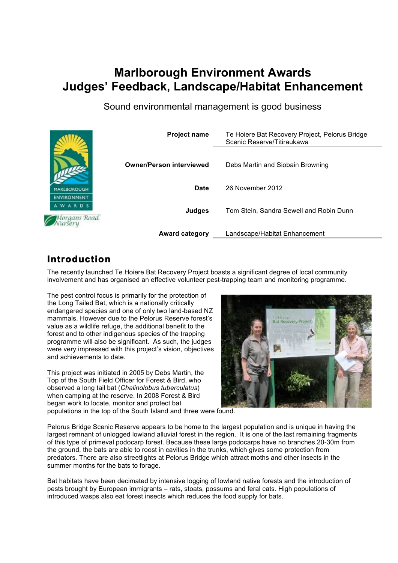# **Marlborough Environment Awards Judges' Feedback, Landscape/Habitat Enhancement**

Sound environmental management is good business



## **Introduction**

The recently launched Te Hoiere Bat Recovery Project boasts a significant degree of local community involvement and has organised an effective volunteer pest-trapping team and monitoring programme.

The pest control focus is primarily for the protection of the Long Tailed Bat, which is a nationally critically endangered species and one of only two land-based NZ mammals. However due to the Pelorus Reserve forest's value as a wildlife refuge, the additional benefit to the forest and to other indigenous species of the trapping programme will also be significant. As such, the judges were very impressed with this project's vision, objectives and achievements to date.

This project was initiated in 2005 by Debs Martin, the Top of the South Field Officer for Forest & Bird, who observed a long tail bat (*Chalinolobus tuberculatus*) when camping at the reserve. In 2008 Forest & Bird began work to locate, monitor and protect bat populations in the top of the South Island and three were found.



Pelorus Bridge Scenic Reserve appears to be home to the largest population and is unique in having the largest remnant of unlogged lowland alluvial forest in the region. It is one of the last remaining fragments of this type of primeval podocarp forest. Because these large podocarps have no branches 20-30m from the ground, the bats are able to roost in cavities in the trunks, which gives some protection from predators. There are also streetlights at Pelorus Bridge which attract moths and other insects in the summer months for the bats to forage.

Bat habitats have been decimated by intensive logging of lowland native forests and the introduction of pests brought by European immigrants – rats, stoats, possums and feral cats. High populations of introduced wasps also eat forest insects which reduces the food supply for bats.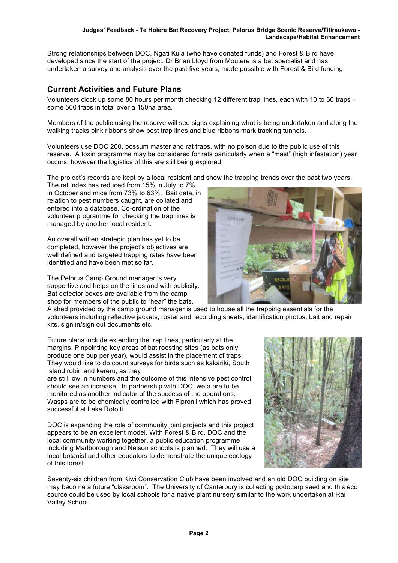#### **Judges' Feedback - Te Hoiere Bat Recovery Project, Pelorus Bridge Scenic Reserve/Titiraukawa - Landscape/Habitat Enhancement**

Strong relationships between DOC, Ngati Kuia (who have donated funds) and Forest & Bird have developed since the start of the project. Dr Brian Lloyd from Moutere is a bat specialist and has undertaken a survey and analysis over the past five years, made possible with Forest & Bird funding.

## **Current Activities and Future Plans**

Volunteers clock up some 80 hours per month checking 12 different trap lines, each with 10 to 60 traps – some 500 traps in total over a 150ha area.

Members of the public using the reserve will see signs explaining what is being undertaken and along the walking tracks pink ribbons show pest trap lines and blue ribbons mark tracking tunnels.

Volunteers use DOC 200, possum master and rat traps, with no poison due to the public use of this reserve. A toxin programme may be considered for rats particularly when a "mast" (high infestation) year occurs, however the logistics of this are still being explored.

The project's records are kept by a local resident and show the trapping trends over the past two years.

The rat index has reduced from 15% in July to 7% in October and mice from 73% to 63%. Bait data, in relation to pest numbers caught, are collated and entered into a database. Co-ordination of the volunteer programme for checking the trap lines is managed by another local resident.

An overall written strategic plan has yet to be completed, however the project's objectives are well defined and targeted trapping rates have been identified and have been met so far.

The Pelorus Camp Ground manager is very supportive and helps on the lines and with publicity. Bat detector boxes are available from the camp shop for members of the public to "hear" the bats.



A shed provided by the camp ground manager is used to house all the trapping essentials for the volunteers including reflective jackets, roster and recording sheets, identification photos, bait and repair kits, sign in/sign out documents etc.

Future plans include extending the trap lines, particularly at the margins. Pinpointing key areas of bat roosting sites (as bats only produce one pup per year), would assist in the placement of traps. They would like to do count surveys for birds such as kakariki, South Island robin and kereru, as they

are still low in numbers and the outcome of this intensive pest control should see an increase. In partnership with DOC, weta are to be monitored as another indicator of the success of the operations. Wasps are to be chemically controlled with Fipronil which has proved successful at Lake Rotoiti.

DOC is expanding the role of community joint projects and this project appears to be an excellent model. With Forest & Bird, DOC and the local community working together, a public education programme including Marlborough and Nelson schools is planned. They will use a local botanist and other educators to demonstrate the unique ecology of this forest.



Seventy-six children from Kiwi Conservation Club have been involved and an old DOC building on site may become a future "classroom". The University of Canterbury is collecting podocarp seed and this eco source could be used by local schools for a native plant nursery similar to the work undertaken at Rai Valley School.